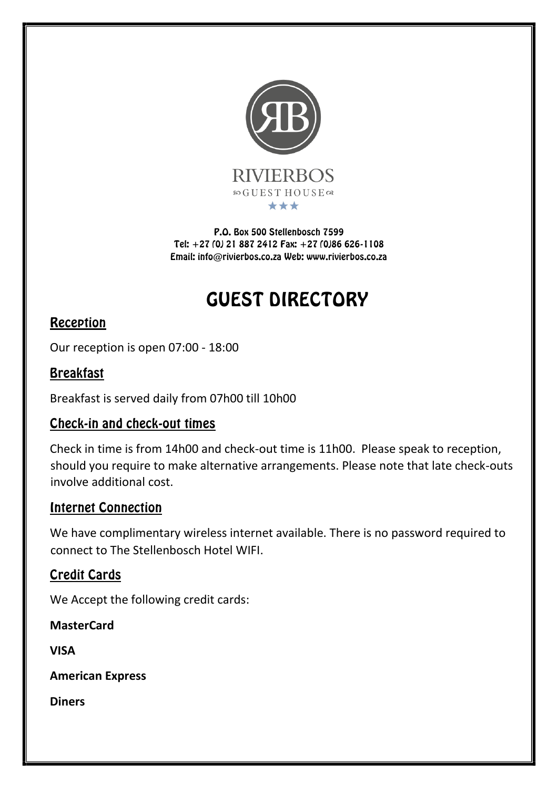

P.O. Box 500 Stellenbosch 7599 Tel: +27 (0) 21 887 2412 Fax: +27 (0)86 626-1108 Email: info@rivierbos.co.za Web: www.rivierbos.co.za

# GUEST DIRECTORY

# Reception

Our reception is open 07:00 - 18:00

# Breakfast

Breakfast is served daily from 07h00 till 10h00

# Check-in and check-out times

Check in time is from 14h00 and check-out time is 11h00. Please speak to reception, should you require to make alternative arrangements. Please note that late check-outs involve additional cost.

# Internet Connection

We have complimentary wireless internet available. There is no password required to connect to The Stellenbosch Hotel WIFI.

# Credit Cards

We Accept the following credit cards:

**MasterCard** 

**VISA** 

**American Express** 

**Diners**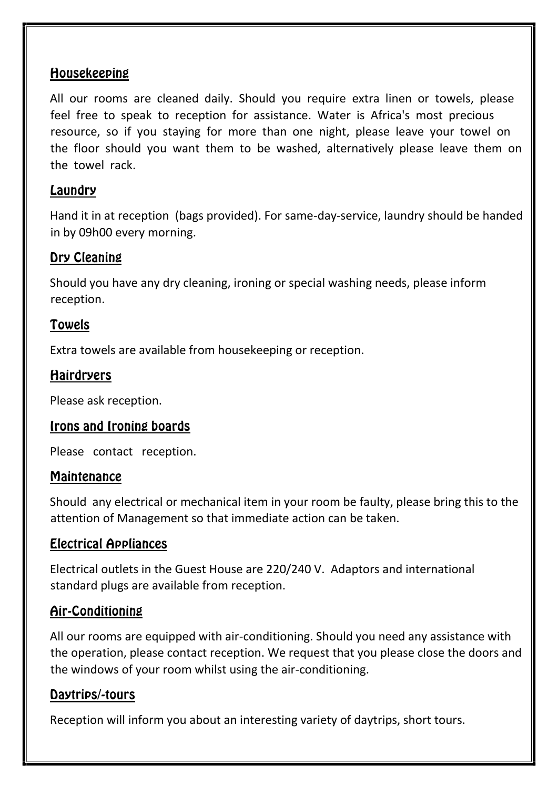# Housekeeping

All our rooms are cleaned daily. Should you require extra linen or towels, please feel free to speak to reception for assistance. Water is Africa's most precious resource, so if you staying for more than one night, please leave your towel on the floor should you want them to be washed, alternatively please leave them on the towel rack.

# Laundry

Hand it in at reception (bags provided). For same-day-service, laundry should be handed in by 09h00 every morning.

# Dry Cleaning

Should you have any dry cleaning, ironing or special washing needs, please inform reception.

# Towels

Extra towels are available from housekeeping or reception.

# **Hairdryers**

Please ask reception.

# Irons and Ironing boards

Please contact reception.

#### **Maintenance**

Should any electrical or mechanical item in your room be faulty, please bring this to the attention of Management so that immediate action can be taken.

# Electrical Appliances

Electrical outlets in the Guest House are 220/240 V. Adaptors and international standard plugs are available from reception.

# Air-Conditioning

All our rooms are equipped with air-conditioning. Should you need any assistance with the operation, please contact reception. We request that you please close the doors and the windows of your room whilst using the air-conditioning.

# Daytrips/-tours

Reception will inform you about an interesting variety of daytrips, short tours.